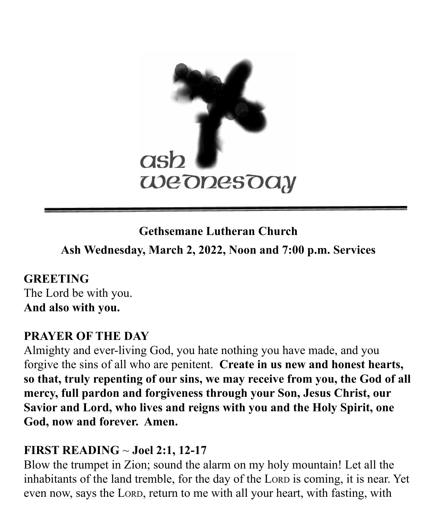

# **Gethsemane Lutheran Church**

**Ash Wednesday, March 2, 2022, Noon and 7:00 p.m. Services**

**GREETING** The Lord be with you. **And also with you.**

## **PRAYER OF THE DAY**

Almighty and ever-living God, you hate nothing you have made, and you forgive the sins of all who are penitent. **Create in us new and honest hearts, so that, truly repenting of our sins, we may receive from you, the God of all mercy, full pardon and forgiveness through your Son, Jesus Christ, our Savior and Lord, who lives and reigns with you and the Holy Spirit, one God, now and forever. Amen.**

#### **FIRST READING** ~ **Joel 2:1, 12-17**

Blow the trumpet in Zion; sound the alarm on my holy mountain! Let all the inhabitants of the land tremble, for the day of the LORD is coming, it is near. Yet even now, says the LORD, return to me with all your heart, with fasting, with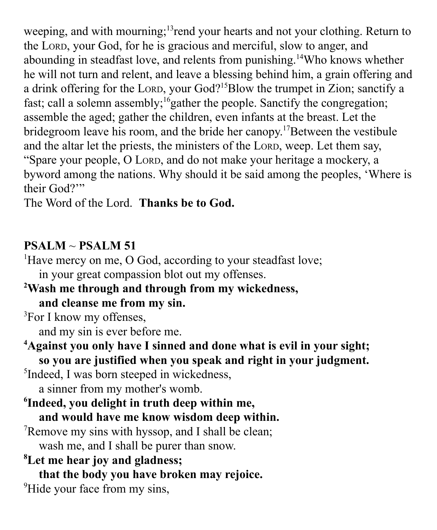weeping, and with mourning;<sup>13</sup> rend your hearts and not your clothing. Return to the LORD, your God, for he is gracious and merciful, slow to anger, and abounding in steadfast love, and relents from punishing.<sup>14</sup>Who knows whether he will not turn and relent, and leave a blessing behind him, a grain offering and a drink offering for the LORD, your God?<sup>15</sup>Blow the trumpet in Zion; sanctify a fast; call a solemn assembly;<sup>16</sup>gather the people. Sanctify the congregation; assemble the aged; gather the children, even infants at the breast. Let the bridegroom leave his room, and the bride her canopy. <sup>17</sup>Between the vestibule and the altar let the priests, the ministers of the LORD, weep. Let them say, "Spare your people, O LORD, and do not make your heritage a mockery, a byword among the nations. Why should it be said among the peoples, 'Where is their God?"

The Word of the Lord. **Thanks be to God.**

### **PSALM** ~ **PSALM 51**

<sup>1</sup>Have mercy on me, O God, according to your steadfast love; in your great compassion blot out my offenses.

**<sup>2</sup>Wash me through and through from my wickedness, and cleanse me from my sin.**

<sup>3</sup>For I know my offenses,

and my sin is ever before me.

**<sup>4</sup>Against you only have I sinned and done what is evil in your sight; so you are justified when you speak and right in your judgment.**

5 Indeed, I was born steeped in wickedness,

a sinner from my mother's womb.

- **6 Indeed, you delight in truth deep within me, and would have me know wisdom deep within.**
- <sup>7</sup>Remove my sins with hyssop, and I shall be clean; wash me, and I shall be purer than snow.

**<sup>8</sup>Let me hear joy and gladness;**

**that the body you have broken may rejoice.**

<sup>9</sup>Hide your face from my sins,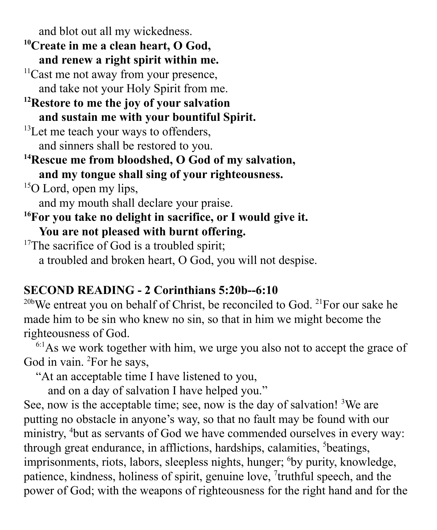and blot out all my wickedness.

- **<sup>10</sup>Create in me a clean heart, O God, and renew a right spirit within me.**
- $11$ Cast me not away from your presence, and take not your Holy Spirit from me.
- **<sup>12</sup>Restore to me the joy of your salvation and sustain me with your bountiful Spirit.**
- $13$ Let me teach your ways to offenders, and sinners shall be restored to you.
- **<sup>14</sup>Rescue me from bloodshed, O God of my salvation, and my tongue shall sing of your righteousness.**
- $15$ O Lord, open my lips, and my mouth shall declare your praise.
- **<sup>16</sup>For you take no delight in sacrifice, or I would give it. You are not pleased with burnt offering.**
- $17$ The sacrifice of God is a troubled spirit; a troubled and broken heart, O God, you will not despise.

# **SECOND READING - 2 Corinthians 5:20b--6:10**

 $20b$ We entreat you on behalf of Christ, be reconciled to God.  $21$ For our sake he made him to be sin who knew no sin, so that in him we might become the righteousness of God.

 $6:1$ As we work together with him, we urge you also not to accept the grace of God in vain. <sup>2</sup>For he says,

"At an acceptable time I have listened to you,

and on a day of salvation I have helped you."

See, now is the acceptable time; see, now is the day of salvation! <sup>3</sup>We are putting no obstacle in anyone's way, so that no fault may be found with our ministry, <sup>4</sup>but as servants of God we have commended ourselves in every way: through great endurance, in afflictions, hardships, calamities, <sup>5</sup>beatings, imprisonments, riots, labors, sleepless nights, hunger; <sup>6</sup>by purity, knowledge, patience, kindness, holiness of spirit, genuine love, 7 truthful speech, and the power of God; with the weapons of righteousness for the right hand and for the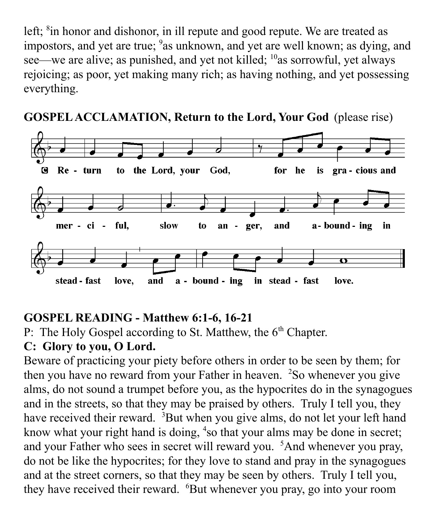left; <sup>8</sup>in honor and dishonor, in ill repute and good repute. We are treated as impostors, and yet are true; <sup>9</sup>as unknown, and yet are well known; as dying, and see—we are alive; as punished, and yet not killed; <sup>10</sup>as sorrowful, yet always rejoicing; as poor, yet making many rich; as having nothing, and yet possessing everything.





## **GOSPEL READING - Matthew 6:1-6, 16-21**

P: The Holy Gospel according to St. Matthew, the 6<sup>th</sup> Chapter.

### **C: Glory to you, O Lord.**

Beware of practicing your piety before others in order to be seen by them; for then you have no reward from your Father in heaven. <sup>2</sup>So whenever you give alms, do not sound a trumpet before you, as the hypocrites do in the synagogues and in the streets, so that they may be praised by others. Truly I tell you, they have received their reward. <sup>3</sup>But when you give alms, do not let your left hand know what your right hand is doing, <sup>4</sup>so that your alms may be done in secret; and your Father who sees in secret will reward you. <sup>5</sup>And whenever you pray, do not be like the hypocrites; for they love to stand and pray in the synagogues and at the street corners, so that they may be seen by others. Truly I tell you, they have received their reward. <sup>6</sup>But whenever you pray, go into your room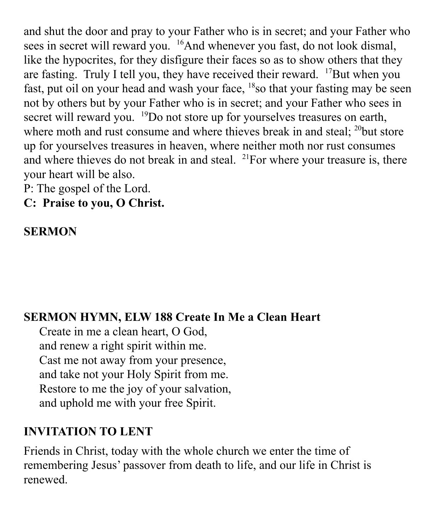and shut the door and pray to your Father who is in secret; and your Father who sees in secret will reward you. <sup>16</sup>And whenever you fast, do not look dismal, like the hypocrites, for they disfigure their faces so as to show others that they are fasting. Truly I tell you, they have received their reward. <sup>17</sup>But when you fast, put oil on your head and wash your face, <sup>18</sup> so that your fasting may be seen not by others but by your Father who is in secret; and your Father who sees in secret will reward you. <sup>19</sup>Do not store up for yourselves treasures on earth, where moth and rust consume and where thieves break in and steal; <sup>20</sup>but store up for yourselves treasures in heaven, where neither moth nor rust consumes and where thieves do not break in and steal.  $2^{1}$  For where your treasure is, there your heart will be also.

P: The gospel of the Lord.

**C: Praise to you, O Christ.**

### **SERMON**

### **SERMON HYMN, ELW 188 Create In Me a Clean Heart**

Create in me a clean heart, O God, and renew a right spirit within me. Cast me not away from your presence, and take not your Holy Spirit from me. Restore to me the joy of your salvation, and uphold me with your free Spirit.

### **INVITATION TO LENT**

Friends in Christ, today with the whole church we enter the time of remembering Jesus' passover from death to life, and our life in Christ is renewed.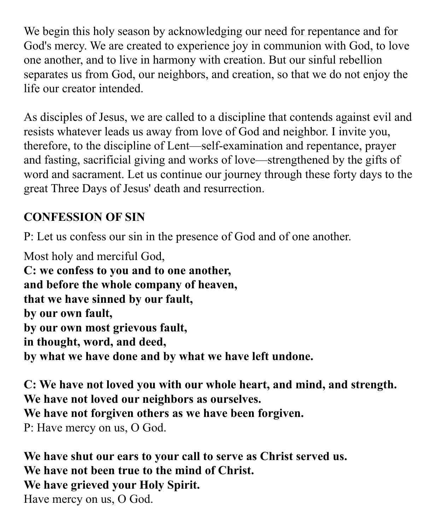We begin this holy season by acknowledging our need for repentance and for God's mercy. We are created to experience joy in communion with God, to love one another, and to live in harmony with creation. But our sinful rebellion separates us from God, our neighbors, and creation, so that we do not enjoy the life our creator intended.

As disciples of Jesus, we are called to a discipline that contends against evil and resists whatever leads us away from love of God and neighbor. I invite you, therefore, to the discipline of Lent—self-examination and repentance, prayer and fasting, sacrificial giving and works of love—strengthened by the gifts of word and sacrament. Let us continue our journey through these forty days to the great Three Days of Jesus' death and resurrection.

# **CONFESSION OF SIN**

P: Let us confess our sin in the presence of God and of one another.

Most holy and merciful God, **C: we confess to you and to one another, and before the whole company of heaven, that we have sinned by our fault, by our own fault, by our own most grievous fault, in thought, word, and deed, by what we have done and by what we have left undone.**

**C: We have not loved you with our whole heart, and mind, and strength. We have not loved our neighbors as ourselves. We have not forgiven others as we have been forgiven.** P: Have mercy on us, O God.

**We have shut our ears to your call to serve as Christ served us. We have not been true to the mind of Christ. We have grieved your Holy Spirit.** Have mercy on us, O God.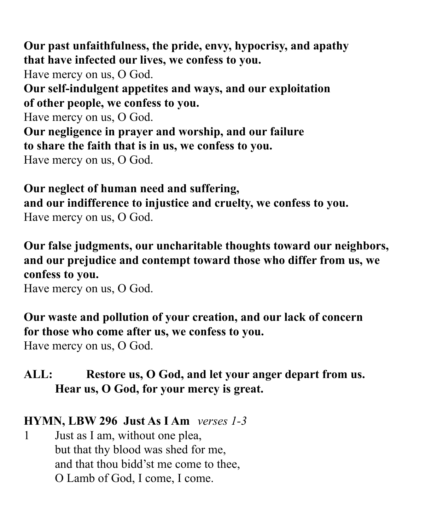**Our past unfaithfulness, the pride, envy, hypocrisy, and apathy that have infected our lives, we confess to you.** Have mercy on us, O God. **Our self-indulgent appetites and ways, and our exploitation of other people, we confess to you.** Have mercy on us, O God. **Our negligence in prayer and worship, and our failure to share the faith that is in us, we confess to you.** Have mercy on us, O God.

**Our neglect of human need and suffering, and our indifference to injustice and cruelty, we confess to you.** Have mercy on us, O God.

**Our false judgments, our uncharitable thoughts toward our neighbors, and our prejudice and contempt toward those who differ from us, we confess to you.**

Have mercy on us, O God.

**Our waste and pollution of your creation, and our lack of concern for those who come after us, we confess to you.**

Have mercy on us, O God.

**ALL: Restore us, O God, and let your anger depart from us. Hear us, O God, for your mercy is great.**

#### **HYMN, LBW 296 Just As I Am** *verses 1-3*

1 Just as I am, without one plea, but that thy blood was shed for me, and that thou bidd'st me come to thee, O Lamb of God, I come, I come.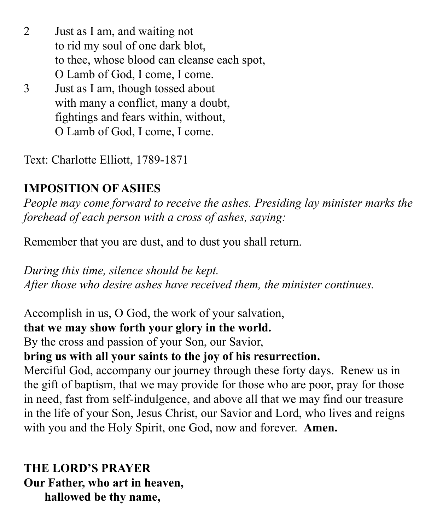- 2 Just as I am, and waiting not to rid my soul of one dark blot, to thee, whose blood can cleanse each spot, O Lamb of God, I come, I come.
- 3 Just as I am, though tossed about with many a conflict, many a doubt, fightings and fears within, without, O Lamb of God, I come, I come.

Text: Charlotte Elliott, 1789-1871

# **IMPOSITION OF ASHES**

*People may come forward to receive the ashes. Presiding lay minister marks the forehead of each person with a cross of ashes, saying:*

Remember that you are dust, and to dust you shall return.

*During this time, silence should be kept. After those who desire ashes have received them, the minister continues.*

Accomplish in us, O God, the work of your salvation,

**that we may show forth your glory in the world.**

By the cross and passion of your Son, our Savior,

## **bring us with all your saints to the joy of his resurrection.**

Merciful God, accompany our journey through these forty days. Renew us in the gift of baptism, that we may provide for those who are poor, pray for those in need, fast from self-indulgence, and above all that we may find our treasure in the life of your Son, Jesus Christ, our Savior and Lord, who lives and reigns with you and the Holy Spirit, one God, now and forever. **Amen.**

**THE LORD'S PRAYER Our Father, who art in heaven, hallowed be thy name,**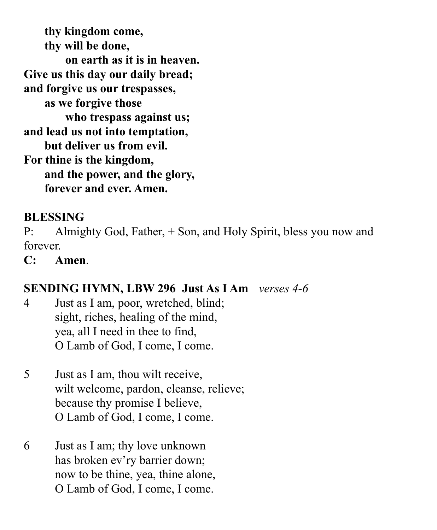**thy kingdom come, thy will be done, on earth as it is in heaven. Give us this day our daily bread; and forgive us our trespasses, as we forgive those who trespass against us; and lead us not into temptation, but deliver us from evil. For thine is the kingdom, and the power, and the glory, forever and ever. Amen.**

## **BLESSING**

P: Almighty God, Father, + Son, and Holy Spirit, bless you now and forever.

**C: Amen**.

## **SENDING HYMN, LBW 296 Just As I Am** *verses 4-6*

- 4 Just as I am, poor, wretched, blind; sight, riches, healing of the mind, yea, all I need in thee to find, O Lamb of God, I come, I come.
- 5 Just as I am, thou wilt receive, wilt welcome, pardon, cleanse, relieve; because thy promise I believe, O Lamb of God, I come, I come.
- 6 Just as I am; thy love unknown has broken ev'ry barrier down; now to be thine, yea, thine alone, O Lamb of God, I come, I come.